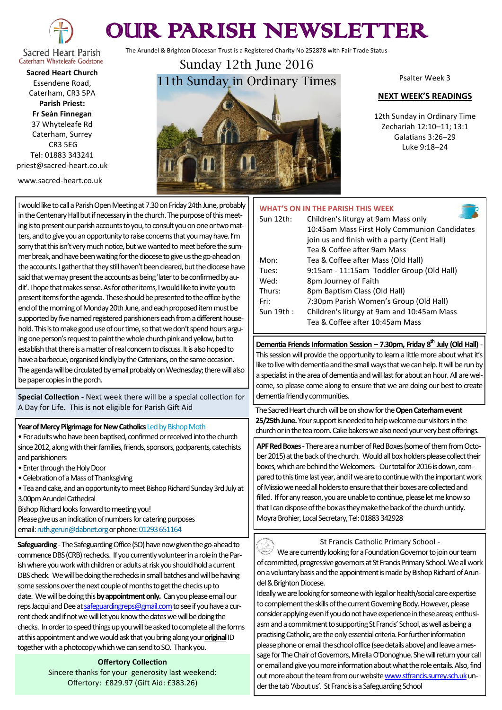

# OUR PARISH NEWSLETTER

The Arundel & Brighton Diocesan Trust is a Registered Charity No 252878 with Fair Trade Status

Caterham Whyteleafe Godstone **Sacred Heart Church** Essendene Road, Caterham, CR3 5PA **Parish Priest: Fr Seán Finnegan** 37 Whyteleafe Rd Caterham, Surrey CR3 5EG Tel: 01883 343241

priest@sacred-heart.co.uk

www.sacred-heart.co.uk



Psalter Week 3

#### **NEXT WEEK'S READINGS**

12th Sunday in Ordinary Time Zechariah 12:10–11; 13:1 Galatians 3:26–29 Luke 9:18–24

## I would like to call a Parish Open Meeting at 7.30 on Friday 24th June, probably in the Centenary Hall but if necessary in the church. The purpose of this meeting is to present our parish accounts to you, to consult you on one or two matters, and to give you an opportunity to raise concerns that you may have. I'm sorry that this isn't very much notice, but we wanted to meet before the summer break, and have been waiting for the diocese to give us the go-ahead on the accounts. I gather that they still haven't been cleared, but the diocese have said that we may present the accounts as being 'later to be confirmed by audit'. I hope that makes sense. As for other items, I would like to invite you to present items for the agenda. These should be presented to the office by the end of the morning of Monday 20th June, and each proposed item must be supported by five named registered parishioners each from a different household. This is to make good use of our time, so that we don't spend hours arguing one person's request to paint the whole church pink and yellow, but to establish that there is a matter of real concern to discuss. It is also hoped to have a barbecue, organised kindly by the Catenians, on the same occasion. The agenda will be circulated by email probably on Wednesday; there will also be paper copies in the porch.

**Special Collection -** Next week there will be a special collection for A Day for Life. This is not eligible for Parish Gift Aid

### **Year of Mercy Pilgrimage for New Catholics** Led by Bishop Moth

• For adults who have been baptised, confirmed or received into the church since 2012, along with their families, friends, sponsors, godparents, catechists and parishioners

- Enter through the Holy Door
- Celebration of a Mass of Thanksgiving
- Tea and cake, and an opportunity to meet Bishop Richard Sunday 3rd July at 3.00pm Arundel Cathedral

Bishop Richard looks forward to meeting you!

Please give us an indication of numbers for catering purposes email: ruth.gerun@dabnet.org or phone: 01293 651164

**Safeguarding** -The Safeguarding Office (SO) have now given the go-ahead to commence DBS (CRB) rechecks. If you currently volunteer in a role in the Parish where you work with children or adults at risk you should hold a current DBS check. We will be doing the rechecks in small batches and will be having some sessions over the next couple of months to get the checks up to date. We will be doing this **by appointment only.** Can you please email our reps Jacqui and Dee at [safeguardingreps@gmail.com](mailto:safeguardingreps@gmail.com) to see if you have a current check and if not we will let you know the dates we will be doing the checks. In order to speed things up you will be asked to complete all the forms at this appointment and we would ask that you bring along your **original**ID together with a photocopy which we can send to SO. Thank you.

#### **Offertory Collection**

Sincere thanks for your generosity last weekend: Offertory: £829.97 (Gift Aid: £383.26)

|           | <b>WHAT'S ON IN THE PARISH THIS WEEK</b>     |
|-----------|----------------------------------------------|
| Sun 12th: | Children's liturgy at 9am Mass only          |
|           | 10:45am Mass First Holy Communion Candidates |
|           | join us and finish with a party (Cent Hall)  |
|           | Tea & Coffee after 9am Mass                  |
| Mon:      | Tea & Coffee after Mass (Old Hall)           |
| Tues:     | 9:15am - 11:15am Toddler Group (Old Hall)    |
| Wed:      | 8pm Journey of Faith                         |
| Thurs:    | 8pm Baptism Class (Old Hall)                 |
| Fri:      | 7:30pm Parish Women's Group (Old Hall)       |
| Sun 19th: | Children's liturgy at 9am and 10:45am Mass   |
|           | Tea & Coffee after 10:45am Mass              |
|           |                                              |

**Dementia Friends Information Session – 7.30pm, Friday 8th July (Old Hall)** - This session will provide the opportunity to learn a little more about what it's like to live with dementia and the small ways that we can help. It will be run by a specialist in the area of dementia and will last for about an hour. All are welcome, so please come along to ensure that we are doing our best to create dementia friendly communities.

The Sacred Heart church will be on show for the **Open Caterham event 25/25th June.**Your support is needed to help welcome our visitors in the church or in the tea room. Cake bakers we also need your very best offerings.

**APF Red Boxes** -There are a number of Red Boxes (some of them from October 2015) at the back of the church. Would all box holders please collect their boxes, which are behind the Welcomers. Our total for 2016 is down, compared to this time last year, and if we are to continue with the important work of Missio we need all holders to ensure that their boxes are collected and filled. If for any reason, you are unable to continue, please let me know so that I can dispose of the box as they make the back of the church untidy. Moyra Brohier, Local Secretary, Tel: 01883 342928

St Francis Catholic Primary School - We are currently looking for a Foundation Governor to join our team of committed, progressive governors at St Francis Primary School. We all work on a voluntary basis and the appointment is made by Bishop Richard of Arundel & Brighton Diocese.

Ideally we are looking for someone with legal or health/social care expertise to complement the skills of the current Governing Body. However, please consider applying even if you do not have experience in these areas; enthusiasm and a commitment to supporting St Francis' School, as well as being a practising Catholic, are the only essential criteria. For further information please phone or email the school office (see details above) and leave a message for The Chair of Governors, Mirella O'Donoghue. She will return your call or email and give you more information about what the role entails. Also, find out more about the team from our website www.stfrancis.surrey.sch.uk under the tab 'About us'. St Francis is a Safeguarding School